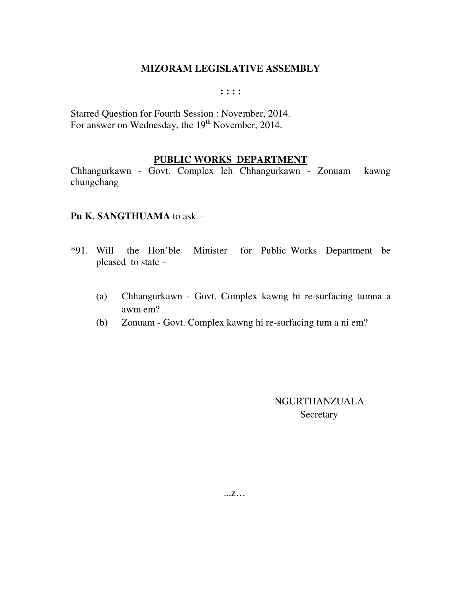#### **: : : :**

Starred Question for Fourth Session : November, 2014. For answer on Wednesday, the 19<sup>th</sup> November, 2014.

### **PUBLIC WORKS DEPARTMENT**

Chhangurkawn - Govt. Complex leh Chhangurkawn - Zonuam kawng chungchang

### **Pu K. SANGTHUAMA** to ask –

- \*91. Will the Hon'ble Minister for Public Works Department be pleased to state –
	- (a) Chhangurkawn Govt. Complex kawng hi re-surfacing tumna a awm em?
	- (b) Zonuam Govt. Complex kawng hi re-surfacing tum a ni em?

 NGURTHANZUALA **Secretary** 

...z…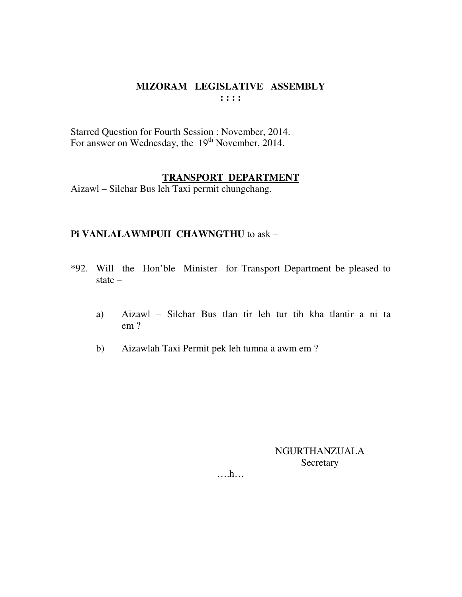Starred Question for Fourth Session : November, 2014. For answer on Wednesday, the 19<sup>th</sup> November, 2014.

### **TRANSPORT DEPARTMENT**

Aizawl – Silchar Bus leh Taxi permit chungchang.

## **Pi VANLALAWMPUII CHAWNGTHU** to ask –

- \*92. Will the Hon'ble Minister for Transport Department be pleased to state –
	- a) Aizawl Silchar Bus tlan tir leh tur tih kha tlantir a ni ta em ?
	- b) Aizawlah Taxi Permit pek leh tumna a awm em ?

NGURTHANZUALA Secretary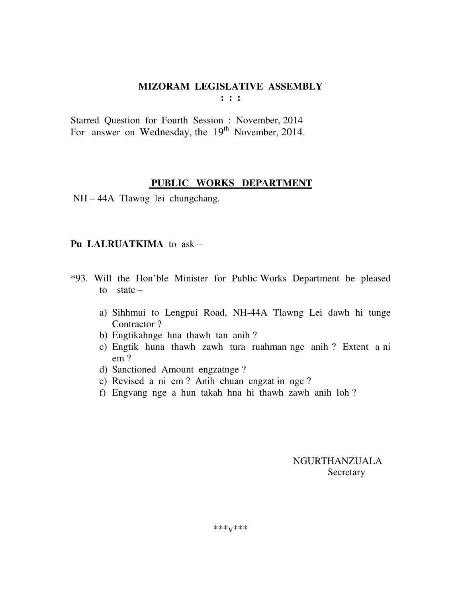Starred Question for Fourth Session : November, 2014 For answer on Wednesday, the  $19<sup>th</sup>$  November, 2014.

## **PUBLIC WORKS DEPARTMENT**

NH – 44A Tlawng lei chungchang.

# **Pu LALRUATKIMA** to ask –

- \*93. Will the Hon'ble Minister for Public Works Department be pleased to state –
	- a) Sihhmui to Lengpui Road, NH-44A Tlawng Lei dawh hi tunge Contractor ?
	- b) Engtikahnge hna thawh tan anih ?
	- c) Engtik huna thawh zawh tura ruahman nge anih ? Extent a ni em ?
	- d) Sanctioned Amount engzatnge ?
	- e) Revised a ni em ? Anih chuan engzat in nge ?
	- f) Engvang nge a hun takah hna hi thawh zawh anih loh ?

 NGURTHANZUALA **Secretary**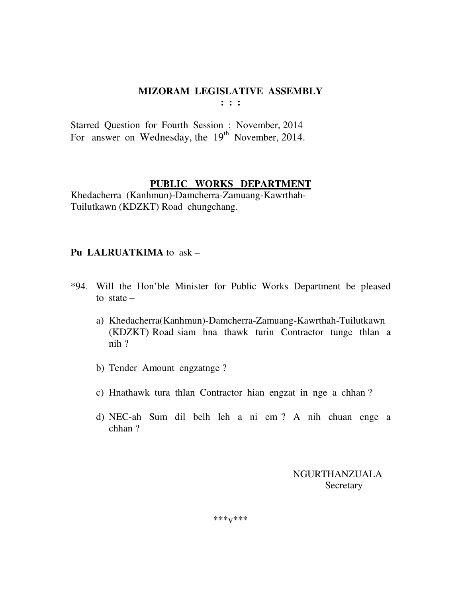Starred Question for Fourth Session : November, 2014 For answer on Wednesday, the  $19<sup>th</sup>$  November, 2014.

## **PUBLIC WORKS DEPARTMENT**

Khedacherra (Kanhmun)-Damcherra-Zamuang-Kawrthah-Tuilutkawn (KDZKT) Road chungchang.

# **Pu LALRUATKIMA** to ask –

- \*94. Will the Hon'ble Minister for Public Works Department be pleased to state –
	- a) Khedacherra(Kanhmun)-Damcherra-Zamuang-Kawrthah-Tuilutkawn (KDZKT) Road siam hna thawk turin Contractor tunge thlan a nih ?
	- b) Tender Amount engzatnge ?
	- c) Hnathawk tura thlan Contractor hian engzat in nge a chhan ?
	- d) NEC-ah Sum dil belh leh a ni em ? A nih chuan enge a chhan ?

 NGURTHANZUALA **Secretary** 

\*\*\*v\*\*\*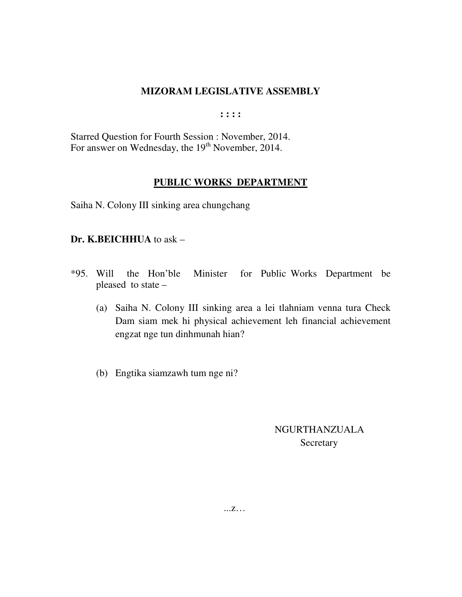**: : : :** 

Starred Question for Fourth Session : November, 2014. For answer on Wednesday, the 19<sup>th</sup> November, 2014.

# **PUBLIC WORKS DEPARTMENT**

Saiha N. Colony III sinking area chungchang

### **Dr. K.BEICHHUA** to ask –

- \*95. Will the Hon'ble Minister for Public Works Department be pleased to state –
	- (a) Saiha N. Colony III sinking area a lei tlahniam venna tura Check Dam siam mek hi physical achievement leh financial achievement engzat nge tun dinhmunah hian?
	- (b) Engtika siamzawh tum nge ni?

# NGURTHANZUALA Secretary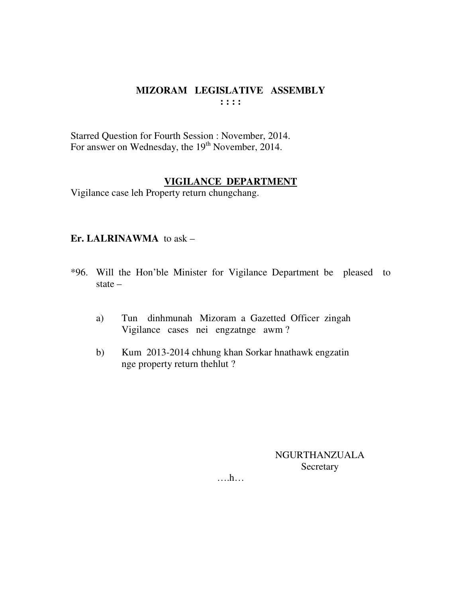Starred Question for Fourth Session : November, 2014. For answer on Wednesday, the 19<sup>th</sup> November, 2014.

### **VIGILANCE DEPARTMENT**

Vigilance case leh Property return chungchang.

## Er. LALRINAWMA to ask  $-$

- \*96. Will the Hon'ble Minister for Vigilance Department be pleased to state  $-$ 
	- Tun dinhmunah Mizoram a Gazetted Officer zingah a) Vigilance cases nei engzatnge awm?
	- Kum 2013-2014 chhung khan Sorkar hnathawk engzatin  $b)$ nge property return the hlut?

NGURTHANZUALA Secretary

 $\dots$ ...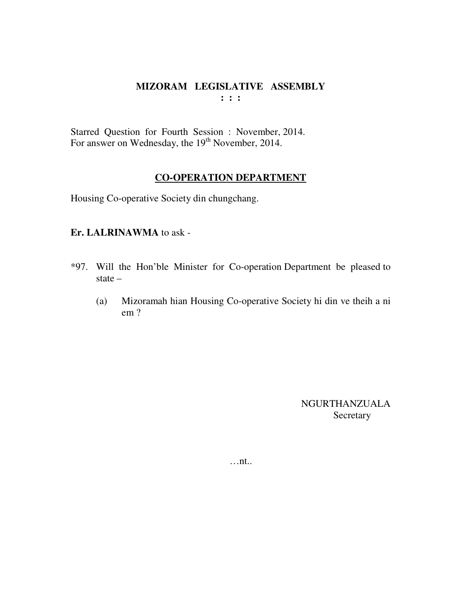Starred Question for Fourth Session : November, 2014. For answer on Wednesday, the 19<sup>th</sup> November, 2014.

### **CO-OPERATION DEPARTMENT**

Housing Co-operative Society din chungchang.

## **Er. LALRINAWMA** to ask -

- \*97. Will the Hon'ble Minister for Co-operation Department be pleased to state –
	- (a) Mizoramah hian Housing Co-operative Society hi din ve theih a ni em ?

NGURTHANZUALA **Secretary** 

…nt..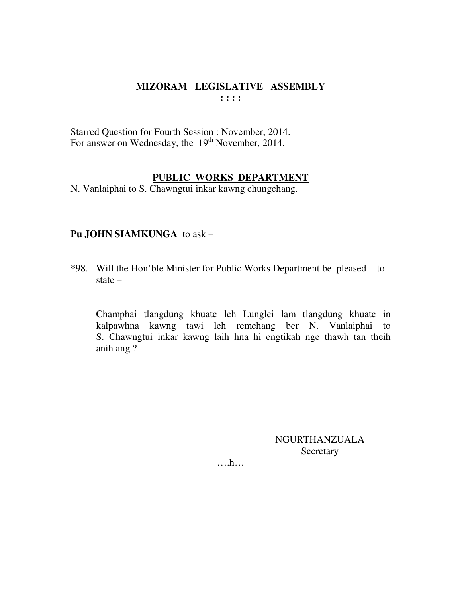Starred Question for Fourth Session : November, 2014. For answer on Wednesday, the 19<sup>th</sup> November, 2014.

### **PUBLIC WORKS DEPARTMENT**

N. Vanlaiphai to S. Chawngtui inkar kawng chungchang.

## **Pu JOHN SIAMKUNGA** to ask –

\*98. Will the Hon'ble Minister for Public Works Department be pleased to state –

 Champhai tlangdung khuate leh Lunglei lam tlangdung khuate in kalpawhna kawng tawi leh remchang ber N. Vanlaiphai to S. Chawngtui inkar kawng laih hna hi engtikah nge thawh tan theih anih ang ?

> NGURTHANZUALA Secretary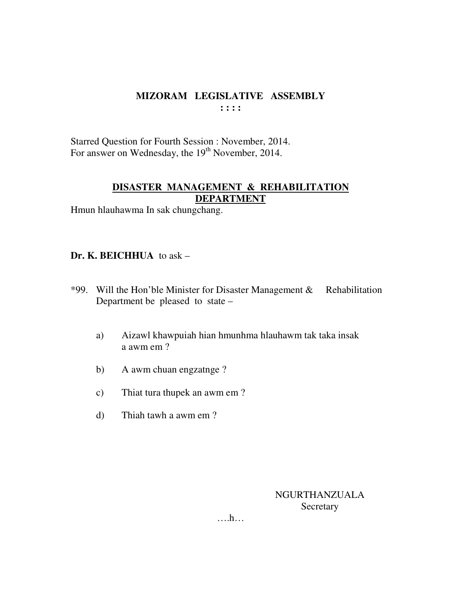Starred Question for Fourth Session : November, 2014. For answer on Wednesday, the 19<sup>th</sup> November, 2014.

# **DISASTER MANAGEMENT & REHABILITATION DEPARTMENT**

Hmun hlauhawma In sak chungchang.

# **Dr. K. BEICHHUA** to ask –

- \*99. Will the Hon'ble Minister for Disaster Management & Rehabilitation Department be pleased to state –
	- a) Aizawl khawpuiah hian hmunhma hlauhawm tak taka insak a awm em ?
	- b) A awm chuan engzatnge ?
	- c) Thiat tura thupek an awm em ?
	- d) Thiah tawh a awm em ?

NGURTHANZUALA Secretary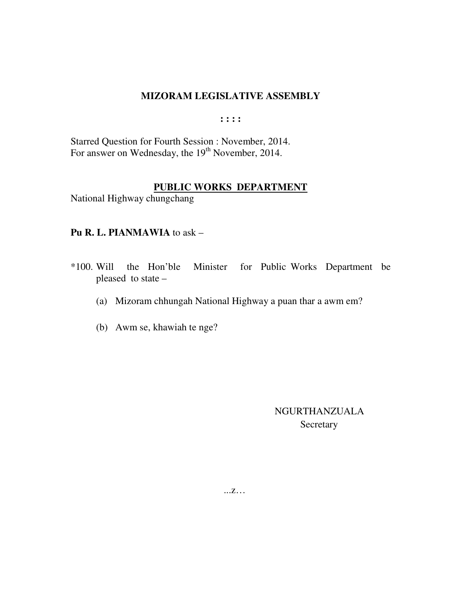$: : : :$ 

Starred Question for Fourth Session : November, 2014. For answer on Wednesday, the 19<sup>th</sup> November, 2014.

## PUBLIC WORKS DEPARTMENT

National Highway chungchang

## Pu R. L. PIANMAWIA to ask -

- \*100. Will the Hon'ble Minister for Public Works Department be pleased to state -
	- (a) Mizoram chhungah National Highway a puan thar a awm em?
	- (b) Awm se, khawiah te nge?

**NGURTHANZUALA** Secretary

 $\dots Z\dots$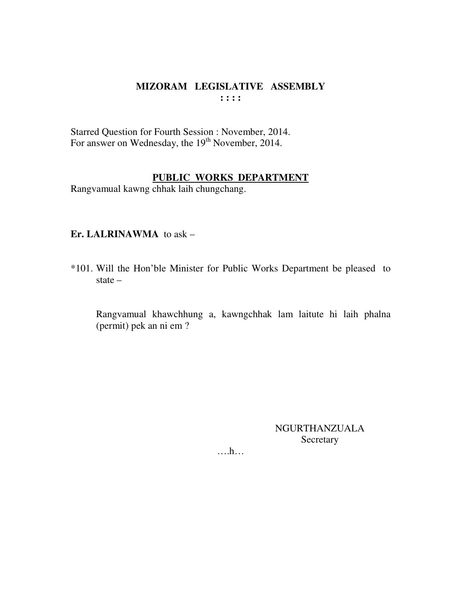Starred Question for Fourth Session : November, 2014. For answer on Wednesday, the 19<sup>th</sup> November, 2014.

# PUBLIC WORKS DEPARTMENT

Rangvamual kawng chhak laih chungchang.

## Er. LALRINAWMA to ask -

\*101. Will the Hon'ble Minister for Public Works Department be pleased to state  $-$ 

Rangvamual khawchhung a, kawngchhak lam laitute hi laih phalna (permit) pek an ni em ?

> **NGURTHANZUALA** Secretary

 $\dots$ ...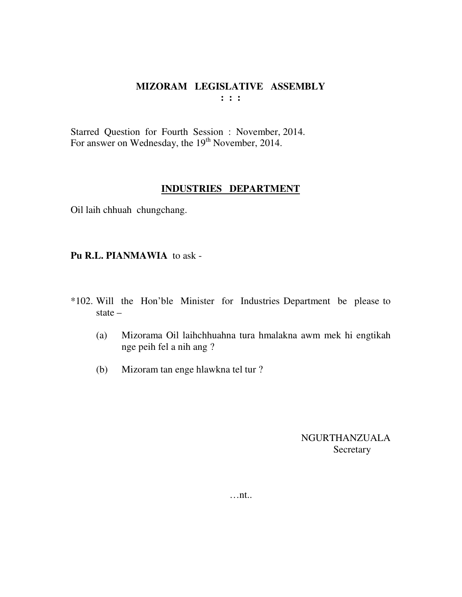Starred Question for Fourth Session : November, 2014. For answer on Wednesday, the 19<sup>th</sup> November, 2014.

## **INDUSTRIES DEPARTMENT**

Oil laih chhuah chungchang.

**Pu R.L. PIANMAWIA** to ask -

- \*102. Will the Hon'ble Minister for Industries Department be please to state –
	- (a) Mizorama Oil laihchhuahna tura hmalakna awm mek hi engtikah nge peih fel a nih ang ?
	- (b) Mizoram tan enge hlawkna tel tur ?

NGURTHANZUALA **Secretary** 

…nt..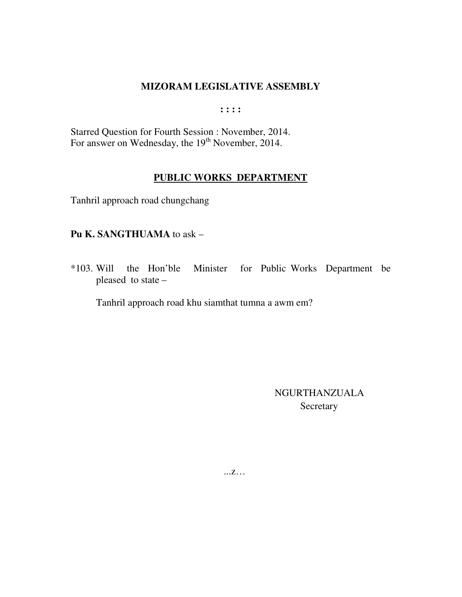$: : : :$ 

Starred Question for Fourth Session : November, 2014. For answer on Wednesday, the 19<sup>th</sup> November, 2014.

### PUBLIC WORKS DEPARTMENT

Tanhril approach road chungchang

## Pu K. SANGTHUAMA to ask -

the Hon'ble Minister for Public Works Department be  $*103.$  Will pleased to state -

Tanhril approach road khu siamthat tumna a awm em?

NGURTHANZUALA Secretary

 $\dots Z\dots$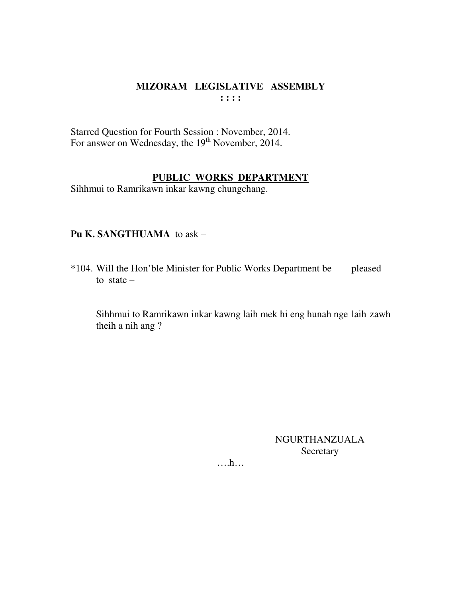Starred Question for Fourth Session : November, 2014. For answer on Wednesday, the 19<sup>th</sup> November, 2014.

### **PUBLIC WORKS DEPARTMENT**

Sihhmui to Ramrikawn inkar kawng chungchang.

## **Pu K. SANGTHUAMA** to ask –

\*104. Will the Hon'ble Minister for Public Works Department be pleased to state  $-$ 

 Sihhmui to Ramrikawn inkar kawng laih mek hi eng hunah nge laih zawh theih a nih ang ?

> NGURTHANZUALA Secretary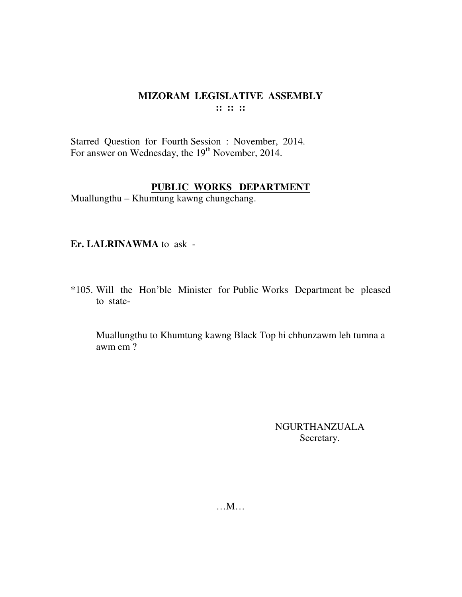Starred Question for Fourth Session : November, 2014. For answer on Wednesday, the 19<sup>th</sup> November, 2014.

### **PUBLIC WORKS DEPARTMENT**

Muallungthu – Khumtung kawng chungchang.

### **Er. LALRINAWMA** to ask -

\*105. Will the Hon'ble Minister for Public Works Department be pleased to state-

 Muallungthu to Khumtung kawng Black Top hi chhunzawm leh tumna a awm em ?

> NGURTHANZUALA Secretary.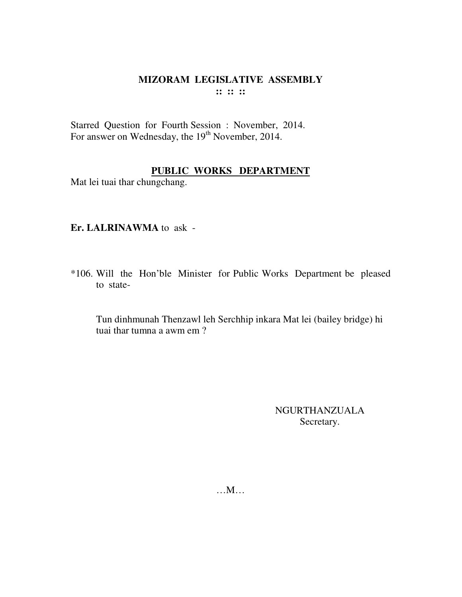Starred Question for Fourth Session : November, 2014. For answer on Wednesday, the 19<sup>th</sup> November, 2014.

# **PUBLIC WORKS DEPARTMENT**

Mat lei tuai thar chungchang.

## **Er. LALRINAWMA** to ask -

\*106. Will the Hon'ble Minister for Public Works Department be pleased to state-

 Tun dinhmunah Thenzawl leh Serchhip inkara Mat lei (bailey bridge) hi tuai thar tumna a awm em ?

> NGURTHANZUALA Secretary.

…M…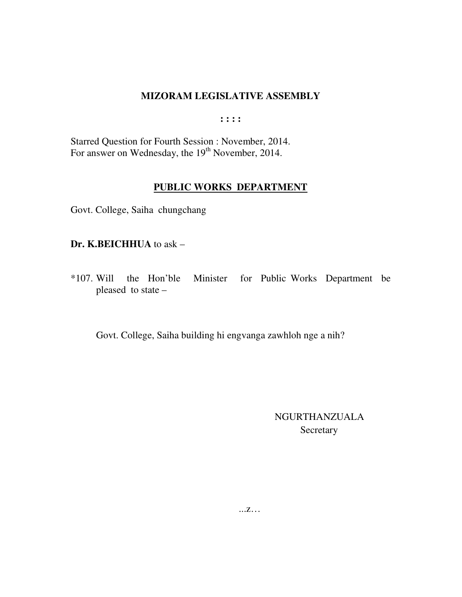**: : : :** 

Starred Question for Fourth Session : November, 2014. For answer on Wednesday, the 19<sup>th</sup> November, 2014.

## **PUBLIC WORKS DEPARTMENT**

Govt. College, Saiha chungchang

### **Dr. K.BEICHHUA** to ask –

\*107. Will the Hon'ble Minister for Public Works Department be pleased to state –

Govt. College, Saiha building hi engvanga zawhloh nge a nih?

# NGURTHANZUALA Secretary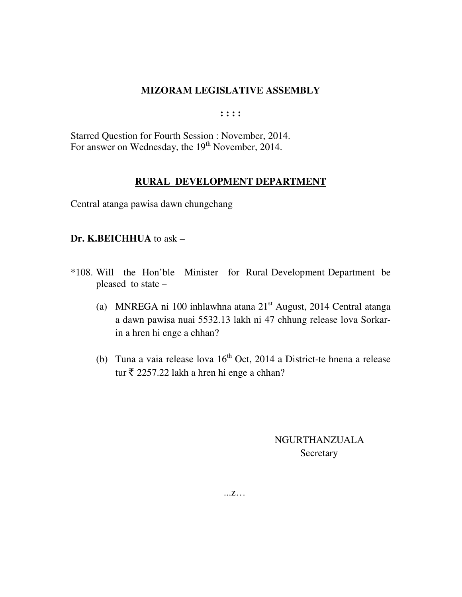**: : : :** 

Starred Question for Fourth Session : November, 2014. For answer on Wednesday, the 19<sup>th</sup> November, 2014.

## **RURAL DEVELOPMENT DEPARTMENT**

Central atanga pawisa dawn chungchang

## **Dr. K.BEICHHUA** to ask –

- \*108. Will the Hon'ble Minister for Rural Development Department be pleased to state –
	- (a) MNREGA ni 100 inhlawhna atana  $21<sup>st</sup>$  August, 2014 Central atanga a dawn pawisa nuai 5532.13 lakh ni 47 chhung release lova Sorkarin a hren hi enge a chhan?
	- (b) Tuna a vaia release lova  $16<sup>th</sup>$  Oct, 2014 a District-te hnena a release tur  $\bar{\tau}$  2257.22 lakh a hren hi enge a chhan?

 NGURTHANZUALA **Secretary** 

...z…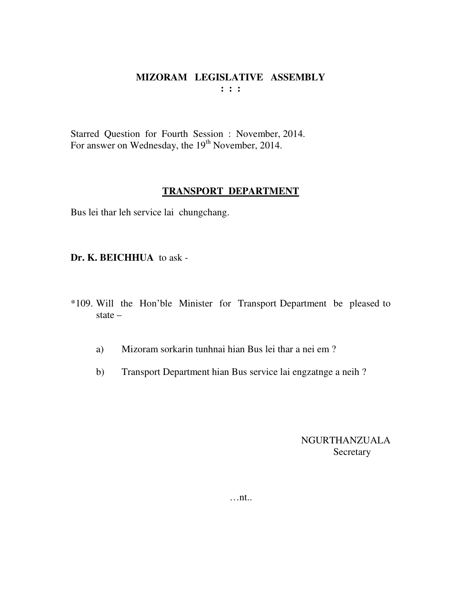Starred Question for Fourth Session : November, 2014. For answer on Wednesday, the 19<sup>th</sup> November, 2014.

### **TRANSPORT DEPARTMENT**

Bus lei thar leh service lai chungchang.

**Dr. K. BEICHHUA** to ask -

- \*109. Will the Hon'ble Minister for Transport Department be pleased to state –
	- a) Mizoram sorkarin tunhnai hian Bus lei thar a nei em ?
	- b) Transport Department hian Bus service lai engzatnge a neih ?

NGURTHANZUALA Secretary

…nt..